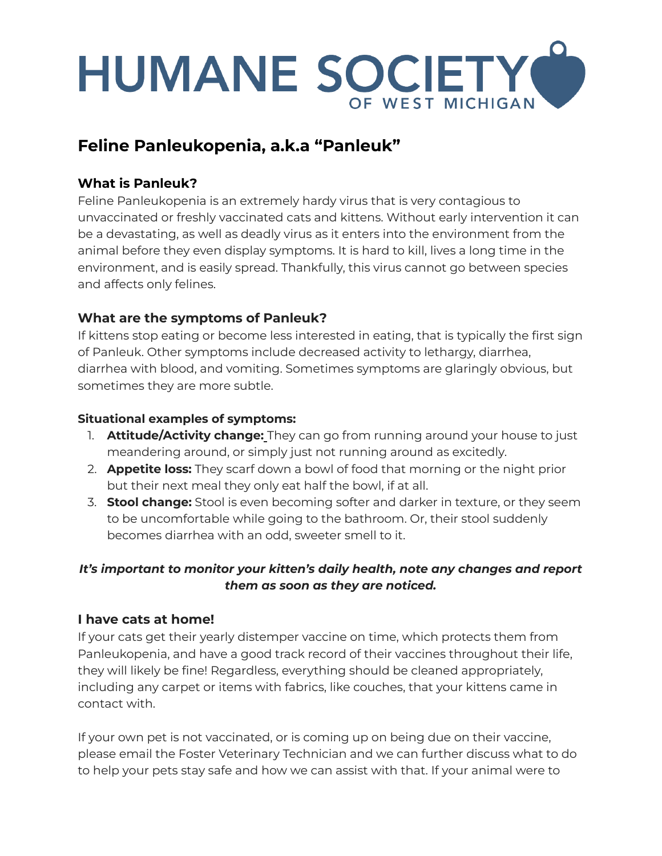# HUMANE SOCIETY OF WEST MICHIGAN

# **Feline Panleukopenia, a.k.a "Panleuk"**

# **What is Panleuk?**

Feline Panleukopenia is an extremely hardy virus that is very contagious to unvaccinated or freshly vaccinated cats and kittens. Without early intervention it can be a devastating, as well as deadly virus as it enters into the environment from the animal before they even display symptoms. It is hard to kill, lives a long time in the environment, and is easily spread. Thankfully, this virus cannot go between species and affects only felines.

## **What are the symptoms of Panleuk?**

If kittens stop eating or become less interested in eating, that is typically the first sign of Panleuk. Other symptoms include decreased activity to lethargy, diarrhea, diarrhea with blood, and vomiting. Sometimes symptoms are glaringly obvious, but sometimes they are more subtle.

#### **Situational examples of symptoms:**

- 1. **Attitude/Activity change:** They can go from running around your house to just meandering around, or simply just not running around as excitedly.
- 2. **Appetite loss:** They scarf down a bowl of food that morning or the night prior but their next meal they only eat half the bowl, if at all.
- 3. **Stool change:** Stool is even becoming softer and darker in texture, or they seem to be uncomfortable while going to the bathroom. Or, their stool suddenly becomes diarrhea with an odd, sweeter smell to it.

## *It's important to monitor your kitten's daily health, note any changes and report them as soon as they are noticed.*

#### **I have cats at home!**

If your cats get their yearly distemper vaccine on time, which protects them from Panleukopenia, and have a good track record of their vaccines throughout their life, they will likely be fine! Regardless, everything should be cleaned appropriately, including any carpet or items with fabrics, like couches, that your kittens came in contact with.

If your own pet is not vaccinated, or is coming up on being due on their vaccine, please email the Foster Veterinary Technician and we can further discuss what to do to help your pets stay safe and how we can assist with that. If your animal were to